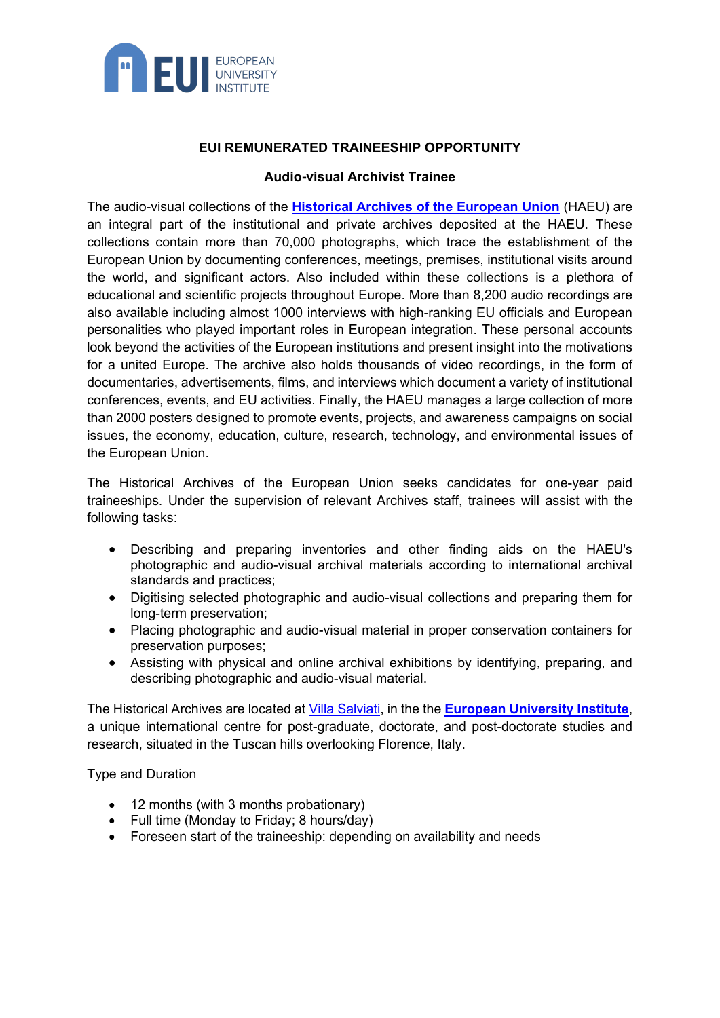

# **EUI REMUNERATED TRAINEESHIP OPPORTUNITY**

### **Audio-visual Archivist Trainee**

The audio-visual collections of the **[Historical Archives of the European Union](https://www.eui.eu/en/academic-units/historical-archives-of-the-european-union)** (HAEU) are an integral part of the institutional and private archives deposited at the HAEU. These collections contain more than 70,000 photographs, which trace the establishment of the European Union by documenting conferences, meetings, premises, institutional visits around the world, and significant actors. Also included within these collections is a plethora of educational and scientific projects throughout Europe. More than 8,200 audio recordings are also available including almost 1000 interviews with high-ranking EU officials and European personalities who played important roles in European integration. These personal accounts look beyond the activities of the European institutions and present insight into the motivations for a united Europe. The archive also holds thousands of video recordings, in the form of documentaries, advertisements, films, and interviews which document a variety of institutional conferences, events, and EU activities. Finally, the HAEU manages a large collection of more than 2000 posters designed to promote events, projects, and awareness campaigns on social issues, the economy, education, culture, research, technology, and environmental issues of the European Union.

The Historical Archives of the European Union seeks candidates for one-year paid traineeships. Under the supervision of relevant Archives staff, trainees will assist with the following tasks:

- Describing and preparing inventories and other finding aids on the HAEU's photographic and audio-visual archival materials according to international archival standards and practices;
- Digitising selected photographic and audio-visual collections and preparing them for long-term preservation;
- Placing photographic and audio-visual material in proper conservation containers for preservation purposes;
- Assisting with physical and online archival exhibitions by identifying, preparing, and describing photographic and audio-visual material.

The Historical Archives are located at [Villa Salviati,](https://www.eui.eu/ServicesAndAdmin/LogisticsService/EUICampus/VillaSalviati) in the the **[European University Institute](https://www.eui.eu/)**, a unique international centre for post-graduate, doctorate, and post-doctorate studies and research, situated in the Tuscan hills overlooking Florence, Italy.

#### Type and Duration

- 12 months (with 3 months probationary)
- Full time (Monday to Friday; 8 hours/day)
- Foreseen start of the traineeship: depending on availability and needs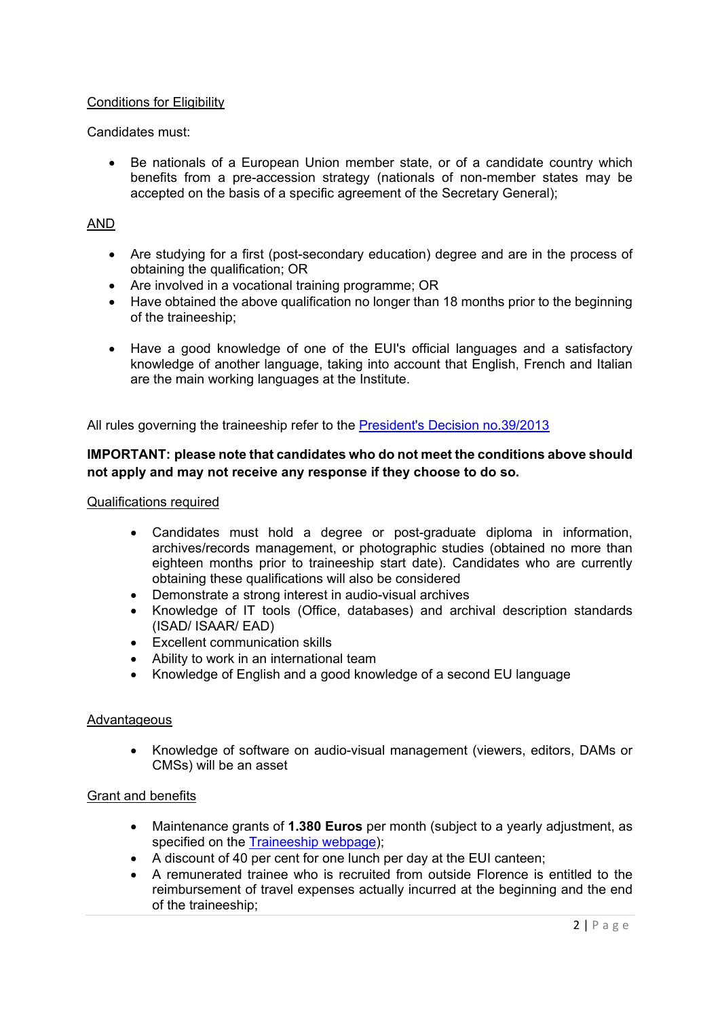## Conditions for Eligibility

Candidates must:

• Be nationals of a European Union member state, or of a candidate country which benefits from a pre-accession strategy (nationals of non-member states may be accepted on the basis of a specific agreement of the Secretary General);

## AND

- Are studying for a first (post-secondary education) degree and are in the process of obtaining the qualification; OR
- Are involved in a vocational training programme; OR
- Have obtained the above qualification no longer than 18 months prior to the beginning of the traineeship;
- Have a good knowledge of one of the EUI's official languages and a satisfactory knowledge of another language, taking into account that English, French and Italian are the main working languages at the Institute.

All rules governing the traineeship refer to the [President's Decision no.39/2013](https://www.eui.eu/Documents/AboutEUI/JobOpportunities/Presidents-Decision-392013.pdf)

## **IMPORTANT: please note that candidates who do not meet the conditions above should not apply and may not receive any response if they choose to do so.**

#### Qualifications required

- Candidates must hold a degree or post-graduate diploma in information, archives/records management, or photographic studies (obtained no more than eighteen months prior to traineeship start date). Candidates who are currently obtaining these qualifications will also be considered
- Demonstrate a strong interest in audio-visual archives
- Knowledge of IT tools (Office, databases) and archival description standards (ISAD/ ISAAR/ EAD)
- Excellent communication skills
- Ability to work in an international team
- Knowledge of English and a good knowledge of a second EU language

#### Advantageous

• Knowledge of software on audio-visual management (viewers, editors, DAMs or CMSs) will be an asset

#### Grant and benefits

- Maintenance grants of **1.380 Euros** per month (subject to a yearly adjustment, as specified on the [Traineeship webpage\)](https://www.eui.eu/About/JobOpportunities/Traineeships);
- A discount of 40 per cent for one lunch per day at the EUI canteen;
- A remunerated trainee who is recruited from outside Florence is entitled to the reimbursement of travel expenses actually incurred at the beginning and the end of the traineeship;